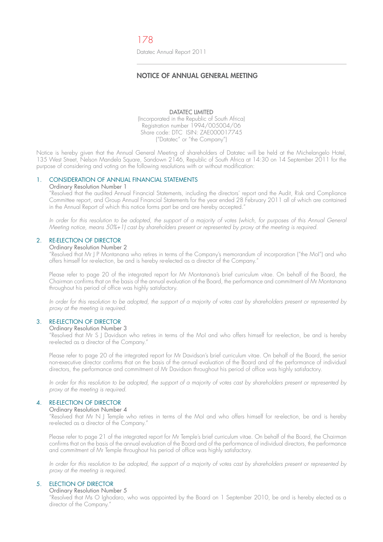# **NOTICE OF ANNUAL GENERAL MEETING**

#### DATATEC LIMITED

(Incorporated in the Republic of South Africa) Registration number 1994/005004/06 Share code: DTC ISIN: ZAE000017745 ("Datatec" or "the Company")

Notice is hereby given that the Annual General Meeting of shareholders of Datatec will be held at the Michelangelo Hotel, 135 West Street, Nelson Mandela Square, Sandown 2146, Republic of South Africa at 14:30 on 14 September 2011 for the purpose of considering and voting on the following resolutions with or without modification:

## 1. CONSIDERATION OF ANNUAL FINANCIAL STATEMENTS

## Ordinary Resolution Number 1

 "Resolved that the audited Annual Financial Statements, including the directors' report and the Audit, Risk and Compliance Committee report, and Group Annual Financial Statements for the year ended 28 February 2011 all of which are contained in the Annual Report of which this notice forms part be and are hereby accepted."

 In order for this resolution to be adopted, the support of a majority of votes (which, for purposes of this Annual General Meeting notice, means 50%+1) cast by shareholders present or represented by proxy at the meeting is required.

### 2. RE-ELECTION OF DIRECTOR

#### Ordinary Resolution Number 2

 "Resolved that Mr J P Montanana who retires in terms of the Company's memorandum of incorporation ("the MoI") and who offers himself for re-election, be and is hereby re-elected as a director of the Company."

 Please refer to page 20 of the integrated report for Mr Montanana's brief curriculum vitae. On behalf of the Board, the Chairman confirms that on the basis of the annual evaluation of the Board, the performance and commitment of Mr Montanana throughout his period of office was highly satisfactory.

 In order for this resolution to be adopted, the support of a majority of votes cast by shareholders present or represented by proxy at the meeting is required.

#### 3. RE-ELECTION OF DIRECTOR

#### Ordinary Resolution Number 3

 "Resolved that Mr S J Davidson who retires in terms of the MoI and who offers himself for re-election, be and is hereby re-elected as a director of the Company."

 Please refer to page 20 of the integrated report for Mr Davidson's brief curriculum vitae. On behalf of the Board, the senior non-executive director confirms that on the basis of the annual evaluation of the Board and of the performance of individual directors, the performance and commitment of Mr Davidson throughout his period of office was highly satisfactory.

In order for this resolution to be adopted, the support of a majority of votes cast by shareholders present or represented by proxy at the meeting is required.

#### 4. RE-ELECTION OF DIRECTOR

#### Ordinary Resolution Number 4

 "Resolved that Mr N J Temple who retires in terms of the MoI and who offers himself for re-election, be and is hereby re-elected as a director of the Company."

 Please refer to page 21 of the integrated report for Mr Temple's brief curriculum vitae. On behalf of the Board, the Chairman confirms that on the basis of the annual evaluation of the Board and of the performance of individual directors, the performance and commitment of Mr Temple throughout his period of office was highly satisfactory.

In order for this resolution to be adopted, the support of a majority of votes cast by shareholders present or represented by proxy at the meeting is required.

# 5. ELECTION OF DIRECTOR

Ordinary Resolution Number 5

 "Resolved that Ms O Ighodaro, who was appointed by the Board on 1 September 2010, be and is hereby elected as a director of the Company."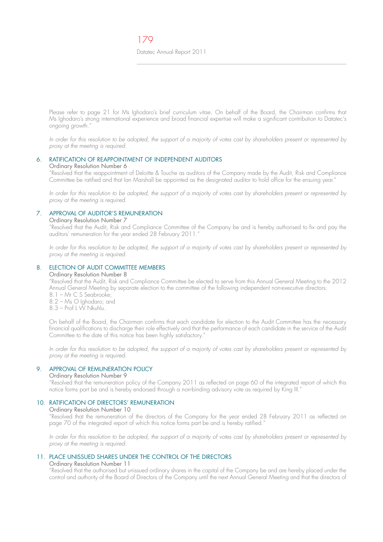Please refer to page 21 for Ms Ighodaro's brief curriculum vitae. On behalf of the Board, the Chairman confirms that Ms Ighodaro's strong international experience and broad financial expertise will make a significant contribution to Datatec's ongoing growth."

In order for this resolution to be adopted, the support of a majority of votes cast by shareholders present or represented by proxy at the meeting is required.

# 6. RATIFICATION OF REAPPOINTMENT OF INDEPENDENT AUDITORS

#### Ordinary Resolution Number 6

 "Resolved that the reappointment of Deloitte & Touche as auditors of the Company made by the Audit, Risk and Compliance Committee be ratified and that Ian Marshall be appointed as the designated auditor to hold office for the ensuing year."

In order for this resolution to be adopted, the support of a majority of votes cast by shareholders present or represented by proxy at the meeting is required.

# 7. APPROVAL OF AUDITOR'S REMUNERATION

## Ordinary Resolution Number 7

 "Resolved that the Audit, Risk and Compliance Committee of the Company be and is hereby authorised to fix and pay the auditors' remuneration for the year ended 28 February 2011."

In order for this resolution to be adopted, the support of a majority of votes cast by shareholders present or represented by proxy at the meeting is required.

## 8. ELECTION OF AUDIT COMMITTEE MEMBERS

#### Ordinary Resolution Number 8

 "Resolved that the Audit, Risk and Compliance Committee be elected to serve from this Annual General Meeting to the 2012 Annual General Meeting by separate election to the committee of the following independent non-executive directors:

- $8.1 Mr C. S. Seabrooke:$
- $8.2$  Ms  $\circ$  Ighodaro; and
- $8.3$  Prof L W Nkuhlu.

 On behalf of the Board, the Chairman confirms that each candidate for election to the Audit Committee has the necessary financial qualifications to discharge their role effectively and that the performance of each candidate in the service of the Audit Committee to the date of this notice has been highly satisfactory."

In order for this resolution to be adopted, the support of a majority of votes cast by shareholders present or represented by proxy at the meeting is required.

# 9. APPROVAL OF REMUNERATION POLICY

#### Ordinary Resolution Number 9

 "Resolved that the remuneration policy of the Company 2011 as reflected on page 60 of the integrated report of which this notice forms part be and is hereby endorsed through a non-binding advisory vote as required by King III."

# 10. RATIFICATION OF DIRECTORS' REMUNERATION

#### Ordinary Resolution Number 10

 "Resolved that the remuneration of the directors of the Company for the year ended 28 February 2011 as reflected on page 70 of the integrated report of which this notice forms part be and is hereby ratified."

 In order for this resolution to be adopted, the support of a majority of votes cast by shareholders present or represented by proxy at the meeting is required.

# 11. PLACE UNISSUED SHARES UNDER THE CONTROL OF THE DIRECTORS

#### Ordinary Resolution Number 11

 "Resolved that the authorised but unissued ordinary shares in the capital of the Company be and are hereby placed under the control and authority of the Board of Directors of the Company until the next Annual General Meeting and that the directors of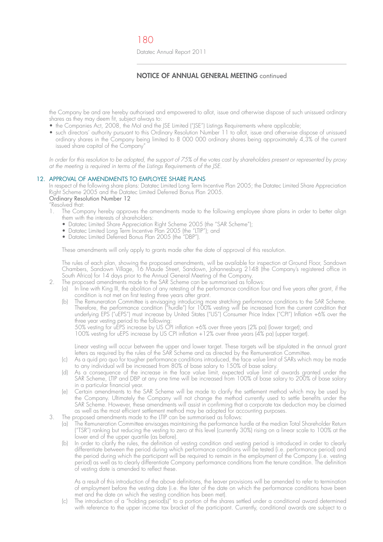# **NOTICE OF ANNUAL GENERAL MEETING** continued

the Company be and are hereby authorised and empowered to allot, issue and otherwise dispose of such unissued ordinary shares as they may deem fit, subject always to:

- $\bullet\,$  the Companies Act, 2008, the MoI and the JSE Limited ("JSE") Listings Requirements where applicable;
	- such directors' authority pursuant to this Ordinary Resolution Number 11 to allot, issue and otherwise dispose of unissued ordinary shares in the Company being limited to 8 000 000 ordinary shares being approximately  $4,3\%$  of the current issued share capital of the Company"

In order for this resolution to be adopted, the support of 75% of the votes cast by shareholders present or represented by proxy at the meeting is required in terms of the Listings Requirements of the JSE.

#### 12. APPROVAL OF AMENDMENTS TO EMPLOYEE SHARE PLANS

 In respect of the following share plans: Datatec Limited Long Term Incentive Plan 2005; the Datatec Limited Share Appreciation Right Scheme 2005 and the Datatec Limited Deferred Bonus Plan 2005. Ordinary Resolution Number 12

"Resolved that:

- 1. The Company hereby approves the amendments made to the following employee share plans in order to better align them with the interests of shareholders:
- $\bullet$  Datatec Limited Share Appreciation Right Scheme 2005 (the "SAR Scheme");
- $\bullet\,$  Datatec Limited Long Term Incentive Plan 2005 (the "LTIP"); and
- $\bullet\,$  Datatec Limited Deferred Bonus Plan 2005 (the "DBP").

These amendments will only apply to grants made after the date of approval of this resolution.

 The rules of each plan, showing the proposed amendments, will be available for inspection at Ground Floor, Sandown Chambers, Sandown Village, 16 Maude Street, Sandown, Johannesburg 2148 (the Company's registered office in South Africa) for 14 days prior to the Annual General Meeting of the Company.

- 2. The proposed amendments made to the SAR Scheme can be summarised as follows:
- (a) In line with King III, the abolition of any retesting of the performance condition four and five years after grant, if the condition is not met on first testing three years after grant.
- (b) The Remuneration Committee is envisaging introducing more stretching performance conditions to the SAR Scheme. Therefore, the performance condition ("hurdle") for 100% vesting will be increased from the current condition that underlying EPS ("uEPS") must increase by United States ("US") Consumer Price Index ("CPI") Inflation +6% over the three year vesting period to the following:

50% vesting for uEPS increase by US CPI inflation +6% over three years (2% pa) (lower target); and

100% vesting for uEPS increase by US CPI inflation +12% over three years (4% pa) (upper target).

 Linear vesting will occur between the upper and lower target. These targets will be stipulated in the annual grant letters as required by the rules of the SAR Scheme and as directed by the Remuneration Committee.

- (c) As a quid pro quo for tougher performance conditions introduced, the face value limit of SARs which may be made to any individual will be increased from 80% of base salary to 150% of base salary.
- (d) As a consequence of the increase in the face value limit, expected value limit of awards granted under the SAR Scheme, LTIP and DBP at any one time will be increased from 100% of base salary to 200% of base salary in a particular financial year.
	- (e) Certain amendments to the SAR Scheme will be made to clarify the settlement method which may be used by the Company. Ultimately the Company will not change the method currently used to settle benefits under the SAR Scheme. However, these amendments will assist in confirming that a corporate tax deduction may be claimed as well as the most efficient settlement method may be adopted for accounting purposes.
	- The proposed amendments made to the LTIP can be summarised as follows:
		- (a) The Remuneration Committee envisages maintaining the performance hurdle at the median Total Shareholder Return ("TSR") ranking but reducing the vesting to zero at this level (currently 30%) rising on a linear scale to 100% at the lower end of the upper quartile (as before).
		- (b) In order to clarify the rules, the definition of vesting condition and vesting period is introduced in order to clearly differentiate between the period during which performance conditions will be tested (i.e. performance period) and the period during which the participant will be required to remain in the employment of the Company (i.e. vesting period) as well as to clearly differentiate Company performance conditions from the tenure condition. The definition of vesting date is amended to reflect these.

 As a result of this introduction of the above definitions, the leaver provisions will be amended to refer to termination of employment before the vesting date (i.e. the later of the date on which the performance conditions have been met and the date on which the vesting condition has been met).

 (c) The introduction of a "holding period(s)" to a portion of the shares settled under a conditional award determined with reference to the upper income tax bracket of the participant. Currently, conditional awards are subject to a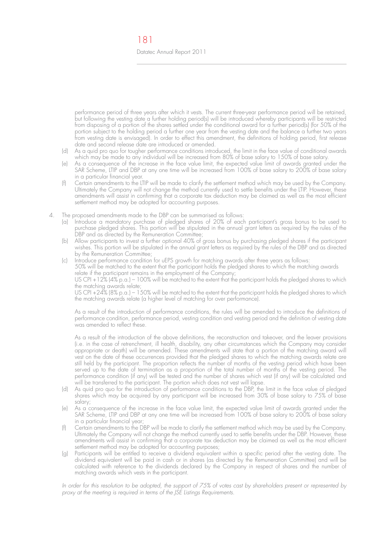performance period of three years after which it vests. The current three-year performance period will be retained, but following the vesting date a further holding period(s) will be introduced whereby participants will be restricted from disposing of a portion of the shares settled under the conditional award for a further period(s) (for 50% of the portion subject to the holding period a further one year from the vesting date and the balance a further two years from vesting date is envisaged). In order to effect this amendment, the definitions of holding period, first release date and second release date are introduced or amended.

- (d) As a quid pro quo for tougher performance conditions introduced, the limit in the face value of conditional awards which may be made to any individual will be increased from 80% of base salary to 150% of base salary.
- (e) As a consequence of the increase in the face value limit, the expected value limit of awards granted under the SAR Scheme, LTIP and DBP at any one time will be increased from 100% of base salary to 200% of base salary in a particular financial year.
- (f) Certain amendments to the LTIP will be made to clarify the settlement method which may be used by the Company. Ultimately the Company will not change the method currently used to settle benefits under the LTIP. However, these amendments will assist in confirming that a corporate tax deduction may be claimed as well as the most efficient settlement method may be adopted for accounting purposes.
- 4. The proposed amendments made to the DBP can be summarised as follows:
	- (a) Introduce a mandatory purchase of pledged shares of 20% of each participant's gross bonus to be used to purchase pledged shares. This portion will be stipulated in the annual grant letters as required by the rules of the DBP and as directed by the Remuneration Committee;
	- (b) Allow participants to invest a further optional 40% of gross bonus by purchasing pledged shares if the participant wishes. This portion will be stipulated in the annual grant letters as required by the rules of the DBP and as directed by the Remuneration Committee;
- (c) Introduce performance condition for uEPS growth for matching awards after three years as follows: 50% will be matched to the extent that the participant holds the pledged shares to which the matching awards relate if the participant remains in the employment of the Company; US CPI +12% (4% p.a.) – 100% will be matched to the extent that the participant holds the pledged shares to which

the matching awards relate; US CPI +24% (8% p.a.) – 1 50% will be matched to the extent that the participant holds the pledged shares to which the matching awards relate (a higher level of matching for over performance).

> As a result of the introduction of performance conditions, the rules will be amended to introduce the definitions of performance condition, performance period, vesting condition and vesting period and the definition of vesting date was amended to reflect these.

> As a result of the introduction of the above definitions, the reconstruction and takeover, and the leaver provisions (i.e. in the case of retrenchment, ill health, disability, any other circumstances which the Company may consider appropriate or death) will be amended. These amendments will state that a portion of the matching award will vest on the date of these occurrences provided that the pledged shares to which the matching awards relate are still held by the participant. The proportion reflects the number of months of the vesting period which have been served up to the date of termination as a proportion of the total number of months of the vesting period. The performance condition (if any) will be tested and the number of shares which vest (if any) will be calculated and will be transferred to the participant. The portion which does not vest will lapse.

- (d) As quid pro quo for the introduction of performance conditions to the DBP, the limit in the face value of pledged shares which may be acquired by any participant will be increased from 30% of base salary to 75% of base salary;
- (e) As a consequence of the increase in the face value limit, the expected value limit of awards granted under the SAR Scheme, LTIP and DBP at any one time will be increased from 100% of base salary to 200% of base salary in a particular financial year;
- (f) Certain amendments to the DBP will be made to clarify the settlement method which may be used by the Company. Ultimately the Company will not change the method currently used to settle benefits under the DBP. However, these amendments will assist in confirming that a corporate tax deduction may be claimed as well as the most efficient settlement method may be adopted for accounting purposes;
- (g) Participants will be entitled to receive a dividend equivalent within a specific period after the vesting date. The dividend equivalent will be paid in cash or in shares (as directed by the Remuneration Committee) and will be calculated with reference to the dividends declared by the Company in respect of shares and the number of matching awards which vests in the participant.

 In order for this resolution to be adopted, the support of 75% of votes cast by shareholders present or represented by proxy at the meeting is required in terms of the JSE Listings Requirements.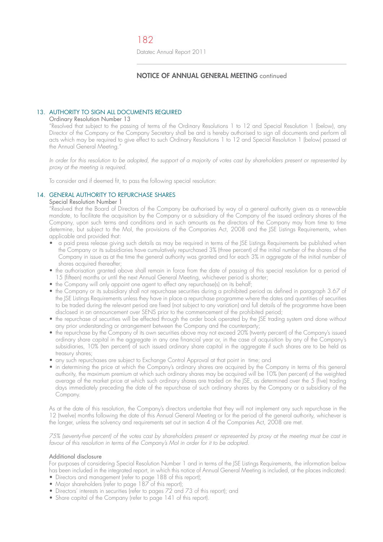# **NOTICE OF ANNUAL GENERAL MEETING** continued

## 13. AUTHORITY TO SIGN ALL DOCUMENTS REQUIRED

#### Ordinary Resolution Number 13

 "Resolved that subject to the passing of terms of the Ordinary Resolutions 1 to 12 and Special Resolution 1 (below), any Director of the Company or the Company Secretary shall be and is hereby authorised to sign all documents and perform all acts which may be required to give effect to such Ordinary Resolutions 1 to 12 and Special Resolution 1 (below) passed at the Annual General Meeting.'

 In order for this resolution to be adopted, the support of a majority of votes cast by shareholders present or represented by proxy at the meeting is required.

To consider and if deemed fit, to pass the following special resolution:

#### 14. GENERAL AUTHORITY TO REPURCHASE SHARES

# Special Resolution Number 1

 "Resolved that the Board of Directors of the Company be authorised by way of a general authority given as a renewable mandate, to facilitate the acquisition by the Company or a subsidiary of the Company of the issued ordinary shares of the Company, upon such terms and conditions and in such amounts as the directors of the Company may from time to time determine, but subject to the MoI, the provisions of the Companies Act, 2008 and the JSE Listings Requirements, when applicable and provided that:

- a paid press release giving such details as may be required in terms of the JSE Listings Requirements be published when the Company or its subsidiaries have cumulatively repurchased 3% (three percent) of the initial number of the shares of the Company in issue as at the time the general authority was granted and for each 3% in aggregate of the initial number of shares acquired thereafter;
- the authorisation granted above shall remain in force from the date of passing of this special resolution for a period of 15 (fifteen) months or until the next Annual General Meeting, whichever period is shorter;
- $\bullet\;$  the Company will only appoint one agent to effect any repurchase(s) on its behalt;
	- the Company or its subsidiary shall not repurchase securities during a prohibited period as defined in paragraph 3.67 of the JSE Listings Requirements unless they have in place a repurchase programme where the dates and quantities of securities to be traded during the relevant period are fixed (not subject to any variation) and full details of the programme have been disclosed in an announcement over SENS prior to the commencement of the prohibited period;
	- the repurchase of securities will be effected through the order book operated by the JSE trading system and done without any prior understanding or arrangement between the Company and the counterparty;
- $\bullet\,$  the repurchase by the Company of its own securities above may not exceed 20% (twenty percent) of the Company's issued ordinary share capital in the aggregate in any one financial year or, in the case of acquisition by any of the Company's subsidiaries, 10% (ten percent) of such issued ordinary share capital in the aggregate if such shares are to be held as treasury shares;
	- any such repurchases are subject to Exchange Control Approval at that point in time; and
	- in determining the price at which the Company's ordinary shares are acquired by the Company in terms of this general authority, the maximum premium at which such ordinary shares may be acquired will be 10% (ten percent) of the weighted average of the market price at which such ordinary shares are traded on the JSE, as determined over the 5 (five) trading days immediately preceding the date of the repurchase of such ordinary shares by the Company or a subsidiary of the Company.

 As at the date of this resolution, the Company's directors undertake that they will not implement any such repurchase in the 12 (twelve) months following the date of this Annual General Meeting or for the period of the general authority, whichever is the longer, unless the solvency and requirements set out in section 4 of the Companies Act, 2008 are met.

 75% (seventy-five percent) of the votes cast by shareholders present or represented by proxy at the meeting must be cast in favour of this resolution in terms of the Company's MoI in order for it to be adopted.

#### Additional disclosure

 For purposes of considering Special Resolution Number 1 and in terms of the JSE Listings Requirements, the information below has been included in the integrated report, in which this notice of Annual General Meeting is included, at the places indicated:

- $\bullet$  Directors and management (refer to page 188 of this report);
- $\bullet$  Major shareholders (reter to page 187 ot this report);
- $\bullet$  Directors' interests in securities (reter to pages 72 and 73 of this report); and
- $\bullet$  Share capital of the Company (reter to page 141 of this report).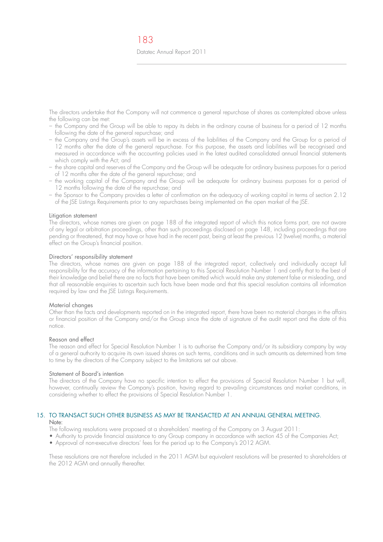The directors undertake that the Company will not commence a general repurchase of shares as contemplated above unless the following can be met:

- the Company and the Group will be able to repay its debts in the ordinary course of business for a period of 12 months following the date of the general repurchase; and
- the Company and the Group's assets will be in excess of the liabilities of the Company and the Group for a period of 12 months after the date of the general repurchase. For this purpose, the assets and liabilities will be recognised and measured in accordance with the accounting policies used in the latest audited consolidated annual financial statements which comply with the Act; and
- the share capital and reserves of the Company and the Group will be adequate for ordinary business purposes for a period of 12 months after the date of the general repurchase; and
- the working capital of the Company and the Group will be adequate for ordinary business purposes for a period of 12 months following the date of the repurchase; and
- the Sponsor to the Company provides a letter of confirmation on the adequacy of working capital in terms of section 2.12 of the JSE Listings Requirements prior to any repurchases being implemented on the open market of the JSE.

#### Litigation statement

 The directors, whose names are given on page 188 of the integrated report of which this notice forms part, are not aware of any legal or arbitration proceedings, other than such proceedings disclosed on page 148, including proceedings that are pending or threatened, that may have or have had in the recent past, being at least the previous 12 (twelve) months, a material effect on the Group's financial position.

#### Directors' responsibility statement

 The directors, whose names are given on page 188 of the integrated report, collectively and individually accept full responsibility for the accuracy of the information pertaining to this Special Resolution Number 1 and certify that to the best of their knowledge and belief there are no facts that have been omitted which would make any statement false or misleading, and that all reasonable enquiries to ascertain such facts have been made and that this special resolution contains all information required by law and the JSE Listings Requirements.

#### Material changes

 Other than the facts and developments reported on in the integrated report, there have been no material changes in the affairs or financial position of the Company and/or the Group since the date of signature of the audit report and the date of this notice.

#### Reason and effect

 The reason and effect for Special Resolution Number 1 is to authorise the Company and/or its subsidiary company by way of a general authority to acquire its own issued shares on such terms, conditions and in such amounts as determined from time to time by the directors of the Company subject to the limitations set out above.

#### Statement of Board's intention

 The directors of the Company have no specific intention to effect the provisions of Special Resolution Number 1 but will, however, continually review the Company's position, having regard to prevailing circumstances and market conditions, in considering whether to effect the provisions of Special Resolution Number 1.

# 15. TO TRANSACT SUCH OTHER BUSINESS AS MAY BE TRANSACTED AT AN ANNUAL GENERAL MEETING.

# Note:

The following resolutions were proposed at a shareholders' meeting of the Company on 3 August 2011: • Authority to provide financial assistance to any Group company in accordance with section 45 of the Companies Act;

- Approval of non-executive directors' fees for the period up to the Company's 2012 AGM.
- These resolutions are not therefore included in the 2011 AGM but equivalent resolutions will be presented to shareholders at the 2012 AGM and annually thereafter.